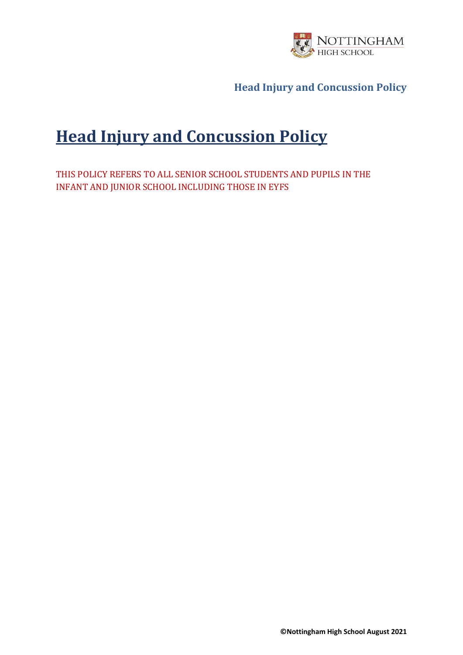

# **Head Injury and Concussion Policy**

THIS POLICY REFERS TO ALL SENIOR SCHOOL STUDENTS AND PUPILS IN THE INFANT AND JUNIOR SCHOOL INCLUDING THOSE IN EYFS

**©Nottingham High School August 2021**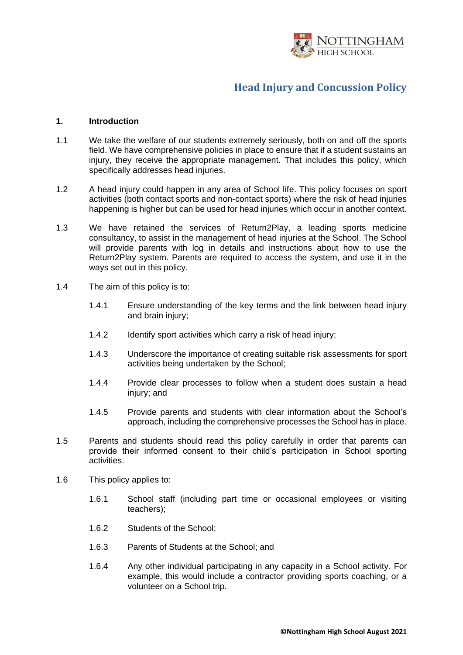

#### **1. Introduction**

- 1.1 We take the welfare of our students extremely seriously, both on and off the sports field. We have comprehensive policies in place to ensure that if a student sustains an injury, they receive the appropriate management. That includes this policy, which specifically addresses head injuries.
- 1.2 A head injury could happen in any area of School life. This policy focuses on sport activities (both contact sports and non-contact sports) where the risk of head injuries happening is higher but can be used for head injuries which occur in another context.
- 1.3 We have retained the services of Return2Play, a leading sports medicine consultancy, to assist in the management of head injuries at the School. The School will provide parents with log in details and instructions about how to use the Return2Play system. Parents are required to access the system, and use it in the ways set out in this policy.
- 1.4 The aim of this policy is to:
	- 1.4.1 Ensure understanding of the key terms and the link between head injury and brain injury;
	- 1.4.2 Identify sport activities which carry a risk of head injury;
	- 1.4.3 Underscore the importance of creating suitable risk assessments for sport activities being undertaken by the School;
	- 1.4.4 Provide clear processes to follow when a student does sustain a head injury; and
	- 1.4.5 Provide parents and students with clear information about the School's approach, including the comprehensive processes the School has in place.
- 1.5 Parents and students should read this policy carefully in order that parents can provide their informed consent to their child's participation in School sporting activities.
- 1.6 This policy applies to:
	- 1.6.1 School staff (including part time or occasional employees or visiting teachers);
	- 1.6.2 Students of the School;
	- 1.6.3 Parents of Students at the School; and
	- 1.6.4 Any other individual participating in any capacity in a School activity. For example, this would include a contractor providing sports coaching, or a volunteer on a School trip.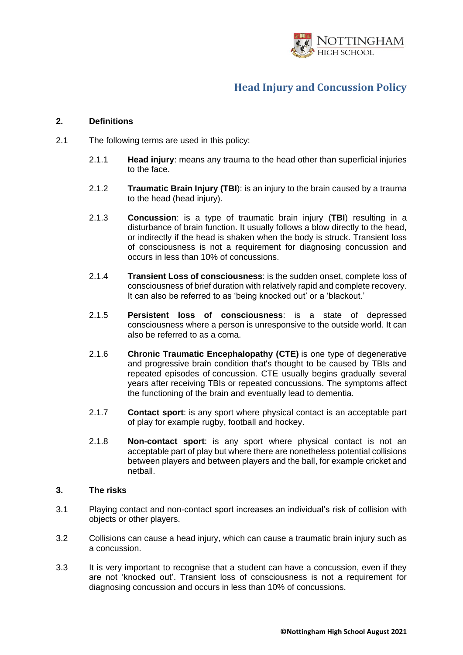

#### **2. Definitions**

- 2.1 The following terms are used in this policy:
	- 2.1.1 **Head injury**: means any trauma to the head other than superficial injuries to the face.
	- 2.1.2 **Traumatic Brain Injury (TBI**): is an injury to the brain caused by a trauma to the head (head injury).
	- 2.1.3 **Concussion**: is a type of traumatic brain injury (**TBI**) resulting in a disturbance of brain function. It usually follows a blow directly to the head, or indirectly if the head is shaken when the body is struck. Transient loss of consciousness is not a requirement for diagnosing concussion and occurs in less than 10% of concussions.
	- 2.1.4 **Transient Loss of consciousness**: is the sudden onset, complete loss of consciousness of brief duration with relatively rapid and complete recovery. It can also be referred to as 'being knocked out' or a 'blackout.'
	- 2.1.5 **Persistent loss of consciousness**: is a state of depressed consciousness where a person is unresponsive to the outside world. It can also be referred to as a coma.
	- 2.1.6 **Chronic Traumatic Encephalopathy (CTE)** is one type of degenerative and progressive brain condition that's thought to be caused by TBIs and repeated episodes of concussion. CTE usually begins gradually several years after receiving TBIs or repeated concussions. The symptoms affect the functioning of the brain and eventually lead to dementia.
	- 2.1.7 **Contact sport**: is any sport where physical contact is an acceptable part of play for example rugby, football and hockey.
	- 2.1.8 **Non-contact sport**: is any sport where physical contact is not an acceptable part of play but where there are nonetheless potential collisions between players and between players and the ball, for example cricket and netball.

#### **3. The risks**

- 3.1 Playing contact and non-contact sport increases an individual's risk of collision with objects or other players.
- 3.2 Collisions can cause a head injury, which can cause a traumatic brain injury such as a concussion.
- 3.3 It is very important to recognise that a student can have a concussion, even if they are not 'knocked out'. Transient loss of consciousness is not a requirement for diagnosing concussion and occurs in less than 10% of concussions.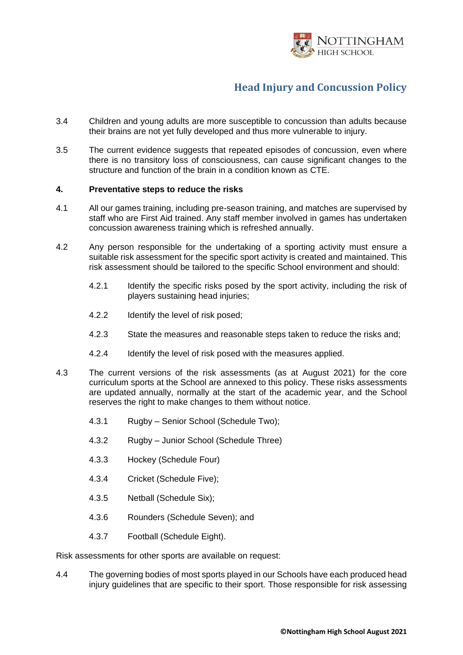

- 3.4 Children and young adults are more susceptible to concussion than adults because their brains are not yet fully developed and thus more vulnerable to injury.
- 3.5 The current evidence suggests that repeated episodes of concussion, even where there is no transitory loss of consciousness, can cause significant changes to the structure and function of the brain in a condition known as CTE.

#### **4. Preventative steps to reduce the risks**

- 4.1 All our games training, including pre-season training, and matches are supervised by staff who are First Aid trained. Any staff member involved in games has undertaken concussion awareness training which is refreshed annually.
- 4.2 Any person responsible for the undertaking of a sporting activity must ensure a suitable risk assessment for the specific sport activity is created and maintained. This risk assessment should be tailored to the specific School environment and should:
	- 4.2.1 Identify the specific risks posed by the sport activity, including the risk of players sustaining head injuries;
	- 4.2.2 Identify the level of risk posed;
	- 4.2.3 State the measures and reasonable steps taken to reduce the risks and;
	- 4.2.4 Identify the level of risk posed with the measures applied.
- 4.3 The current versions of the risk assessments (as at August 2021) for the core curriculum sports at the School are annexed to this policy. These risks assessments are updated annually, normally at the start of the academic year, and the School reserves the right to make changes to them without notice.
	- 4.3.1 Rugby Senior School (Schedule Two);
	- 4.3.2 Rugby Junior School (Schedule Three)
	- 4.3.3 Hockey (Schedule Four)
	- 4.3.4 Cricket (Schedule Five);
	- 4.3.5 Netball (Schedule Six);
	- 4.3.6 Rounders (Schedule Seven); and
	- 4.3.7 Football (Schedule Eight).

Risk assessments for other sports are available on request:

4.4 The governing bodies of most sports played in our Schools have each produced head injury guidelines that are specific to their sport. Those responsible for risk assessing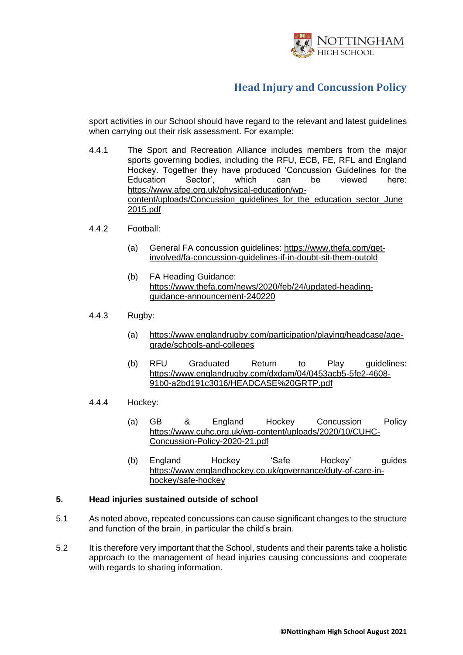

sport activities in our School should have regard to the relevant and latest guidelines when carrying out their risk assessment. For example:

- 4.4.1 The Sport and Recreation Alliance includes members from the major sports governing bodies, including the RFU, ECB, FE, RFL and England Hockey. Together they have produced 'Concussion Guidelines for the Education Sector', which can be viewed here: [https://www.afpe.org.uk/physical-education/wp](https://www.afpe.org.uk/physical-education/wp-content/uploads/Concussion_guidelines_for_the_education_sector_June2015.pdf)[content/uploads/Concussion\\_guidelines\\_for\\_the\\_education\\_sector\\_June](https://www.afpe.org.uk/physical-education/wp-content/uploads/Concussion_guidelines_for_the_education_sector_June2015.pdf) [2015.pdf](https://www.afpe.org.uk/physical-education/wp-content/uploads/Concussion_guidelines_for_the_education_sector_June2015.pdf)
- 4.4.2 Football:
	- (a) General FA concussion guidelines: [https://www.thefa.com/get](https://www.thefa.com/get-involved/fa-concussion-guidelines-if-in-doubt-sit-them-outold)[involved/fa-concussion-guidelines-if-in-doubt-sit-them-outold](https://www.thefa.com/get-involved/fa-concussion-guidelines-if-in-doubt-sit-them-outold)
	- (b) FA Heading Guidance: [https://www.thefa.com/news/2020/feb/24/updated-heading](https://www.thefa.com/news/2020/feb/24/updated-heading-guidance-announcement-240220)[guidance-announcement-240220](https://www.thefa.com/news/2020/feb/24/updated-heading-guidance-announcement-240220)
- 4.4.3 Rugby:
	- (a) [https://www.englandrugby.com/participation/playing/headcase/age](https://www.englandrugby.com/participation/playing/headcase/age-grade/schools-and-colleges)[grade/schools-and-colleges](https://www.englandrugby.com/participation/playing/headcase/age-grade/schools-and-colleges)
	- (b) RFU Graduated Return to Play guidelines: [https://www.englandrugby.com/dxdam/04/0453acb5-5fe2-4608-](https://www.englandrugby.com/dxdam/04/0453acb5-5fe2-4608-91b0-a2bd191c3016/HEADCASE%20GRTP.pdf) [91b0-a2bd191c3016/HEADCASE%20GRTP.pdf](https://www.englandrugby.com/dxdam/04/0453acb5-5fe2-4608-91b0-a2bd191c3016/HEADCASE%20GRTP.pdf)
- 4.4.4 Hockey:
	- (a) GB & England Hockey Concussion Policy [https://www.cuhc.org.uk/wp-content/uploads/2020/10/CUHC-](https://www.cuhc.org.uk/wp-content/uploads/2020/10/CUHC-Concussion-Policy-2020-21.pdf)[Concussion-Policy-2020-21.pdf](https://www.cuhc.org.uk/wp-content/uploads/2020/10/CUHC-Concussion-Policy-2020-21.pdf)
	- (b) England Hockey 'Safe Hockey' guides [https://www.englandhockey.co.uk/governance/duty-of-care-in](https://www.englandhockey.co.uk/governance/duty-of-care-in-hockey/safe-hockey)[hockey/safe-hockey](https://www.englandhockey.co.uk/governance/duty-of-care-in-hockey/safe-hockey)

#### **5. Head injuries sustained outside of school**

- 5.1 As noted above, repeated concussions can cause significant changes to the structure and function of the brain, in particular the child's brain.
- 5.2 It is therefore very important that the School, students and their parents take a holistic approach to the management of head injuries causing concussions and cooperate with regards to sharing information.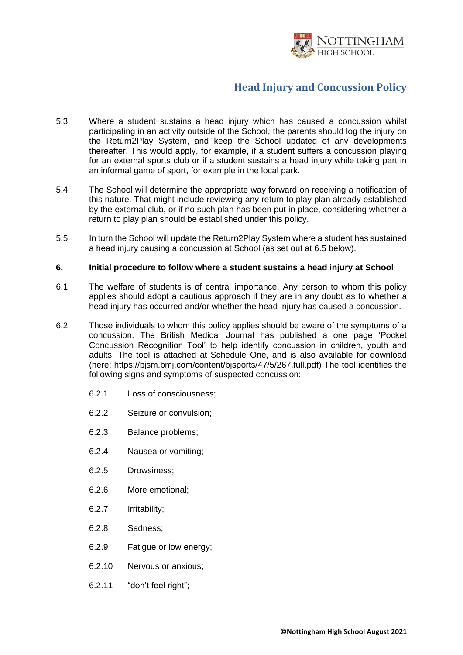

- 5.3 Where a student sustains a head injury which has caused a concussion whilst participating in an activity outside of the School, the parents should log the injury on the Return2Play System, and keep the School updated of any developments thereafter. This would apply, for example, if a student suffers a concussion playing for an external sports club or if a student sustains a head injury while taking part in an informal game of sport, for example in the local park.
- 5.4 The School will determine the appropriate way forward on receiving a notification of this nature. That might include reviewing any return to play plan already established by the external club, or if no such plan has been put in place, considering whether a return to play plan should be established under this policy.
- 5.5 In turn the School will update the Return2Play System where a student has sustained a head injury causing a concussion at School (as set out at [6.5](#page-7-0) below).

#### **6. Initial procedure to follow where a student sustains a head injury at School**

- 6.1 The welfare of students is of central importance. Any person to whom this policy applies should adopt a cautious approach if they are in any doubt as to whether a head injury has occurred and/or whether the head injury has caused a concussion.
- 6.2 Those individuals to whom this policy applies should be aware of the symptoms of a concussion. The British Medical Journal has published a one page 'Pocket Concussion Recognition Tool' to help identify concussion in children, youth and adults. The tool is attached at Schedule One, and is also available for download (here: [https://bjsm.bmj.com/content/bjsports/47/5/267.full.pdf\)](https://bjsm.bmj.com/content/bjsports/47/5/267.full.pdf) The tool identifies the following signs and symptoms of suspected concussion:
	- 6.2.1 Loss of consciousness;
	- 6.2.2 Seizure or convulsion;
	- 6.2.3 Balance problems;
	- 6.2.4 Nausea or vomiting;
	- 6.2.5 Drowsiness;
	- 6.2.6 More emotional;
	- 6.2.7 Irritability;
	- 6.2.8 Sadness;
	- 6.2.9 Fatigue or low energy;
	- 6.2.10 Nervous or anxious;
	- 6.2.11 "don't feel right";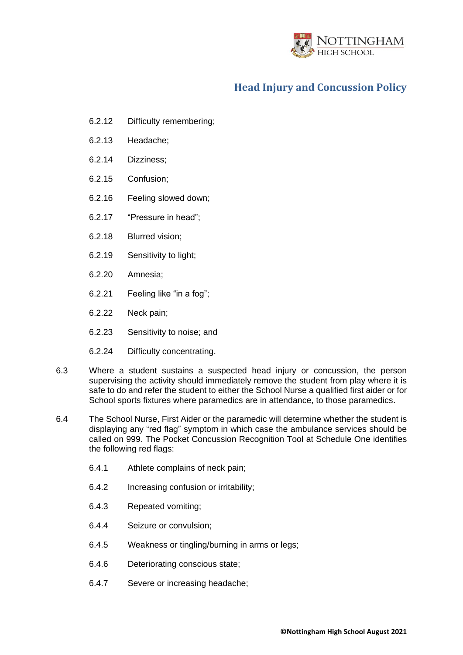

- 6.2.12 Difficulty remembering;
- 6.2.13 Headache;
- 6.2.14 Dizziness;
- 6.2.15 Confusion;
- 6.2.16 Feeling slowed down;
- 6.2.17 "Pressure in head";
- 6.2.18 Blurred vision;
- 6.2.19 Sensitivity to light;
- 6.2.20 Amnesia;
- 6.2.21 Feeling like "in a fog";
- 6.2.22 Neck pain;
- 6.2.23 Sensitivity to noise; and
- 6.2.24 Difficulty concentrating.
- 6.3 Where a student sustains a suspected head injury or concussion, the person supervising the activity should immediately remove the student from play where it is safe to do and refer the student to either the School Nurse a qualified first aider or for School sports fixtures where paramedics are in attendance, to those paramedics.
- 6.4 The School Nurse, First Aider or the paramedic will determine whether the student is displaying any "red flag" symptom in which case the ambulance services should be called on 999. The Pocket Concussion Recognition Tool at Schedule One identifies the following red flags:
	- 6.4.1 Athlete complains of neck pain;
	- 6.4.2 Increasing confusion or irritability;
	- 6.4.3 Repeated vomiting;
	- 6.4.4 Seizure or convulsion;
	- 6.4.5 Weakness or tingling/burning in arms or legs;
	- 6.4.6 Deteriorating conscious state;
	- 6.4.7 Severe or increasing headache;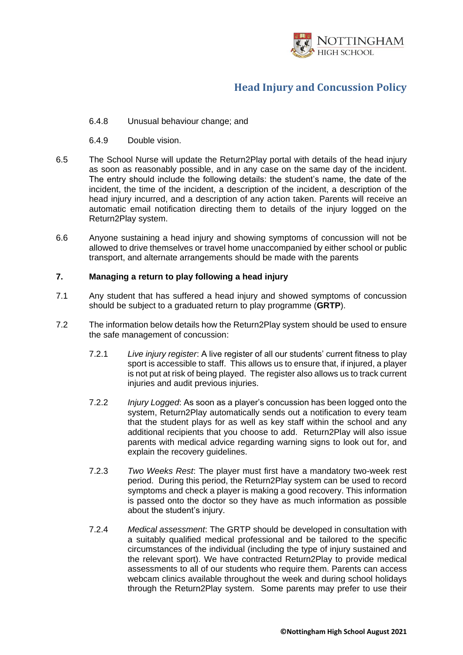

- 6.4.8 Unusual behaviour change; and
- 6.4.9 Double vision.
- <span id="page-7-0"></span>6.5 The School Nurse will update the Return2Play portal with details of the head injury as soon as reasonably possible, and in any case on the same day of the incident. The entry should include the following details: the student's name, the date of the incident, the time of the incident, a description of the incident, a description of the head injury incurred, and a description of any action taken. Parents will receive an automatic email notification directing them to details of the injury logged on the Return2Play system.
- 6.6 Anyone sustaining a head injury and showing symptoms of concussion will not be allowed to drive themselves or travel home unaccompanied by either school or public transport, and alternate arrangements should be made with the parents

#### **7. Managing a return to play following a head injury**

- 7.1 Any student that has suffered a head injury and showed symptoms of concussion should be subject to a graduated return to play programme (**GRTP**).
- 7.2 The information below details how the Return2Play system should be used to ensure the safe management of concussion:
	- 7.2.1 *Live injury register*: A live register of all our students' current fitness to play sport is accessible to staff. This allows us to ensure that, if injured, a player is not put at risk of being played. The register also allows us to track current injuries and audit previous injuries.
	- 7.2.2 *Injury Logged*: As soon as a player's concussion has been logged onto the system, Return2Play automatically sends out a notification to every team that the student plays for as well as key staff within the school and any additional recipients that you choose to add. Return2Play will also issue parents with medical advice regarding warning signs to look out for, and explain the recovery guidelines.
	- 7.2.3 *Two Weeks Rest*: The player must first have a mandatory two-week rest period. During this period, the Return2Play system can be used to record symptoms and check a player is making a good recovery. This information is passed onto the doctor so they have as much information as possible about the student's injury.
	- 7.2.4 *Medical assessment*: The GRTP should be developed in consultation with a suitably qualified medical professional and be tailored to the specific circumstances of the individual (including the type of injury sustained and the relevant sport). We have contracted Return2Play to provide medical assessments to all of our students who require them. Parents can access webcam clinics available throughout the week and during school holidays through the Return2Play system. Some parents may prefer to use their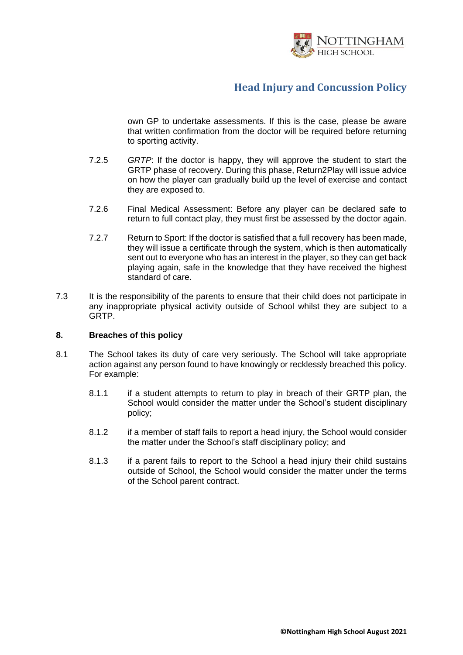

own GP to undertake assessments. If this is the case, please be aware that written confirmation from the doctor will be required before returning to sporting activity.

- 7.2.5 *GRTP*: If the doctor is happy, they will approve the student to start the GRTP phase of recovery. During this phase, Return2Play will issue advice on how the player can gradually build up the level of exercise and contact they are exposed to.
- 7.2.6 Final Medical Assessment: Before any player can be declared safe to return to full contact play, they must first be assessed by the doctor again.
- 7.2.7 Return to Sport: If the doctor is satisfied that a full recovery has been made, they will issue a certificate through the system, which is then automatically sent out to everyone who has an interest in the player, so they can get back playing again, safe in the knowledge that they have received the highest standard of care.
- 7.3 It is the responsibility of the parents to ensure that their child does not participate in any inappropriate physical activity outside of School whilst they are subject to a GRTP.

#### **8. Breaches of this policy**

- 8.1 The School takes its duty of care very seriously. The School will take appropriate action against any person found to have knowingly or recklessly breached this policy. For example:
	- 8.1.1 if a student attempts to return to play in breach of their GRTP plan, the School would consider the matter under the School's student disciplinary policy;
	- 8.1.2 if a member of staff fails to report a head injury, the School would consider the matter under the School's staff disciplinary policy; and
	- 8.1.3 if a parent fails to report to the School a head injury their child sustains outside of School, the School would consider the matter under the terms of the School parent contract.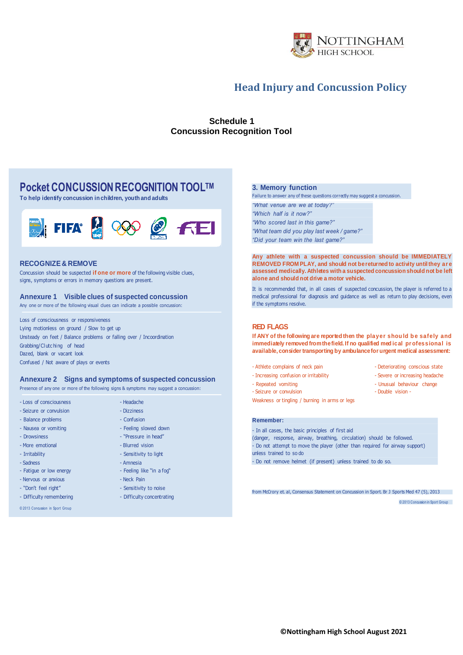

#### **Schedule 1 Concussion Recognition Tool**

#### **Pocket CONCUSSION RECOGNITION TOOLTM**

**To help identify concussion in children, youth and adults**



#### **RECOGNIZE & REMOVE**

Concussion should be suspected **if one or more** of the following visible clues, signs, symptoms or errors in memory questions are present.

#### **Annexure 1 Visible clues of suspected concussion**

Any one or more of the following visual clues can indicate a possible concussion:

Loss of consciousness or responsiveness Lying motionless on ground / Slow to get up Unsteady on feet / Balance problems or falling over / Incoordination Grabbing/Clutc hing of head Dazed, blank or vacant look Confused / Not aware of plays or events

#### **Annexure 2 Signs and symptoms of suspected concussion**

- Feeling slowed down

- "Pressure in head"

- Sensitivity to light

- Feeling like "in a fog"

- Sensitivity to noise

- Difficulty concentrating

- Amnesia

Presence of any one or more of the following signs & symptoms may suggest a concussion:

- Loss of consciousness - Headache - Seizure or convulsion - Dizziness

- Balance problems Confusion
- Nausea or vomiting
	-
- Drowsiness - More emotional and a state of the Blurred vision
- Irritability
- Sadness
- Fatigue or low energy
- Nervous or anxious Neck Pain
- "Don't feel right"
- Difficulty remembering
- 

**3. Memory function**

Failure to answer any of these questions correctly may suggest a concussion. *"What venue are we at today?"*

*"Which half is it now?" "Who scored last in this game?" "What team did you play last week / game?" "Did your team win the last game?"*

**Any athlete with a suspected concussion should be IMMEDIATELY REMOVED FROM PLAY, and should not be returned to activity until they ar e assessed medically. Athletes with a suspected concussion should not be left alone and should not drive a motor vehicle.**

It is recommended that, in all cases of suspected concussion, the player is referred to a medical professional for diagnosis and guidance as well as return to play decisions, even if the symptoms resolve.

#### **RED FLAGS**

If ANY of the following are reported then the player should be safely and **immediately removed from the field. If no qualified med ical pr ofessional is available, consider transporting by ambulance for urgent medical assessment:**

- Athlete complains of neck pain Deteriorating conscious state
- Increasing confusion or irritability The Severe or increasing headache
- Repeated vomiting
- Seizure or convulsion Double vision -

Weakness or tingling / burning in arms or legs

#### **Remember:**

- In all cases, the basic principles of first aid (danger, response, airway, breathing, circulation) should be followed. - Do not attempt to move the player (other than required for airway support) unless trained to so do - Do not remove helmet (if present) unless trained to do so.

from McCrory et. al, Consensus Statement on Concussion in Sport. Br J Sports Med 47 (5), 2013

© 2013 Concussion in Sport Group

- Unusual behaviour change

© 2013 Concussion in Sport Group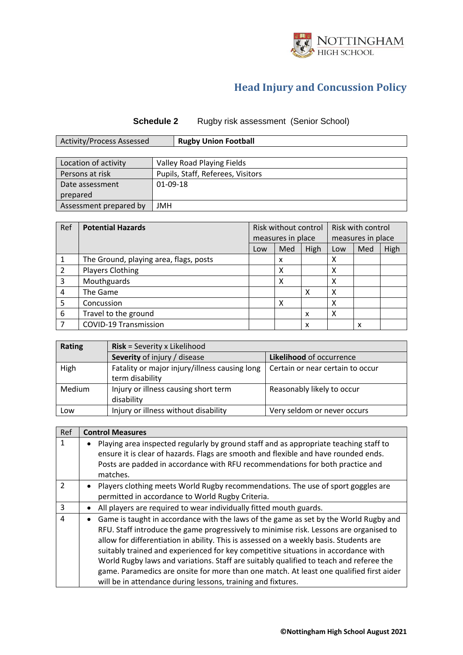

#### **Schedule 2** Rugby risk assessment (Senior School)

| Activity/Process Assessed | <b>Rugby Union Football</b> |
|---------------------------|-----------------------------|

| Location of activity   | Valley Road Playing Fields        |
|------------------------|-----------------------------------|
| Persons at risk        | Pupils, Staff, Referees, Visitors |
| Date assessment        | 01-09-18                          |
| prepared               |                                   |
| Assessment prepared by | JMH                               |

| Ref | <b>Potential Hazards</b>               | Risk without control |                   | Risk with control |                   |     |      |
|-----|----------------------------------------|----------------------|-------------------|-------------------|-------------------|-----|------|
|     |                                        |                      | measures in place |                   | measures in place |     |      |
|     |                                        | Low                  | Med               | High              | Low               | Med | High |
|     | The Ground, playing area, flags, posts |                      | x                 |                   | х                 |     |      |
| 2   | <b>Players Clothing</b>                |                      | x                 |                   | х                 |     |      |
| 3   | Mouthguards                            |                      | Χ                 |                   | х                 |     |      |
| 4   | The Game                               |                      |                   | х                 | χ                 |     |      |
| 5   | Concussion                             |                      |                   |                   |                   |     |      |
| 6   | Travel to the ground                   |                      |                   | X                 | х                 |     |      |
|     | <b>COVID-19 Transmission</b>           |                      |                   | x                 |                   | x   |      |

| <b>Rating</b> | <b>Risk</b> = Severity x Likelihood                              |                                  |  |  |  |
|---------------|------------------------------------------------------------------|----------------------------------|--|--|--|
|               | Severity of injury / disease                                     | Likelihood of occurrence         |  |  |  |
| High          | Fatality or major injury/illness causing long<br>term disability | Certain or near certain to occur |  |  |  |
| Medium        | Injury or illness causing short term<br>disability               | Reasonably likely to occur       |  |  |  |
| Low           | Injury or illness without disability                             | Very seldom or never occurs      |  |  |  |

| Ref            | <b>Control Measures</b>                                                                                                                                                                                                                                                                                                                                                                                                                                                                                                                                                                                             |
|----------------|---------------------------------------------------------------------------------------------------------------------------------------------------------------------------------------------------------------------------------------------------------------------------------------------------------------------------------------------------------------------------------------------------------------------------------------------------------------------------------------------------------------------------------------------------------------------------------------------------------------------|
| $\mathbf{1}$   | Playing area inspected regularly by ground staff and as appropriate teaching staff to<br>ensure it is clear of hazards. Flags are smooth and flexible and have rounded ends.<br>Posts are padded in accordance with RFU recommendations for both practice and<br>matches.                                                                                                                                                                                                                                                                                                                                           |
| $\mathfrak{D}$ | Players clothing meets World Rugby recommendations. The use of sport goggles are<br>permitted in accordance to World Rugby Criteria.                                                                                                                                                                                                                                                                                                                                                                                                                                                                                |
| 3              | All players are required to wear individually fitted mouth guards.<br>$\bullet$                                                                                                                                                                                                                                                                                                                                                                                                                                                                                                                                     |
| $\overline{a}$ | Game is taught in accordance with the laws of the game as set by the World Rugby and<br>RFU. Staff introduce the game progressively to minimise risk. Lessons are organised to<br>allow for differentiation in ability. This is assessed on a weekly basis. Students are<br>suitably trained and experienced for key competitive situations in accordance with<br>World Rugby laws and variations. Staff are suitably qualified to teach and referee the<br>game. Paramedics are onsite for more than one match. At least one qualified first aider<br>will be in attendance during lessons, training and fixtures. |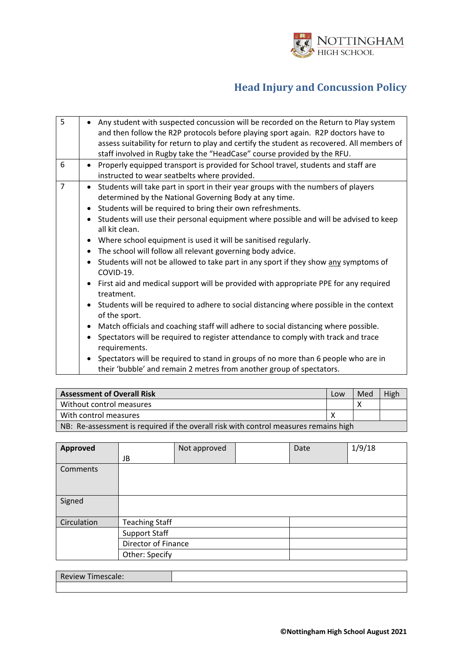

| 5              | Any student with suspected concussion will be recorded on the Return to Play system<br>and then follow the R2P protocols before playing sport again. R2P doctors have to<br>assess suitability for return to play and certify the student as recovered. All members of<br>staff involved in Rugby take the "HeadCase" course provided by the RFU. |
|----------------|---------------------------------------------------------------------------------------------------------------------------------------------------------------------------------------------------------------------------------------------------------------------------------------------------------------------------------------------------|
| 6              | Properly equipped transport is provided for School travel, students and staff are<br>$\bullet$<br>instructed to wear seatbelts where provided.                                                                                                                                                                                                    |
| $\overline{7}$ | Students will take part in sport in their year groups with the numbers of players<br>determined by the National Governing Body at any time.<br>Students will be required to bring their own refreshments.<br>$\bullet$                                                                                                                            |
|                | Students will use their personal equipment where possible and will be advised to keep<br>all kit clean.                                                                                                                                                                                                                                           |
|                | Where school equipment is used it will be sanitised regularly.<br>$\bullet$                                                                                                                                                                                                                                                                       |
|                | The school will follow all relevant governing body advice.<br>$\bullet$                                                                                                                                                                                                                                                                           |
|                | Students will not be allowed to take part in any sport if they show any symptoms of<br>$\bullet$<br>COVID-19.                                                                                                                                                                                                                                     |
|                | • First aid and medical support will be provided with appropriate PPE for any required<br>treatment.                                                                                                                                                                                                                                              |
|                | Students will be required to adhere to social distancing where possible in the context<br>of the sport.                                                                                                                                                                                                                                           |
|                | • Match officials and coaching staff will adhere to social distancing where possible.                                                                                                                                                                                                                                                             |
|                | Spectators will be required to register attendance to comply with track and trace<br>requirements.                                                                                                                                                                                                                                                |
|                | Spectators will be required to stand in groups of no more than 6 people who are in<br>$\bullet$<br>their 'bubble' and remain 2 metres from another group of spectators.                                                                                                                                                                           |

| <b>Assessment of Overall Risk</b> | Low                                                                                  | Med | High |  |  |
|-----------------------------------|--------------------------------------------------------------------------------------|-----|------|--|--|
| Without control measures          |                                                                                      |     |      |  |  |
| With control measures             |                                                                                      |     |      |  |  |
|                                   | NB: Re-assessment is required if the overall risk with control measures remains high |     |      |  |  |

| <b>Approved</b> |                       | Not approved | Date | 1/9/18 |
|-----------------|-----------------------|--------------|------|--------|
|                 | JB                    |              |      |        |
| Comments        |                       |              |      |        |
|                 |                       |              |      |        |
|                 |                       |              |      |        |
| Signed          |                       |              |      |        |
|                 |                       |              |      |        |
| Circulation     | <b>Teaching Staff</b> |              |      |        |
|                 | <b>Support Staff</b>  |              |      |        |
|                 | Director of Finance   |              |      |        |
|                 | Other: Specify        |              |      |        |

| Review<br>Timescale: |  |
|----------------------|--|
|                      |  |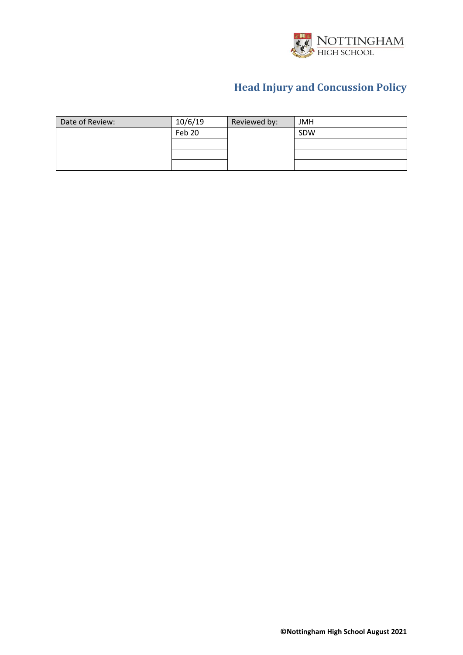

| Date of Review: | 10/6/19 | Reviewed by: | <b>JMH</b> |
|-----------------|---------|--------------|------------|
|                 | Feb 20  |              | SDW        |
|                 |         |              |            |
|                 |         |              |            |
|                 |         |              |            |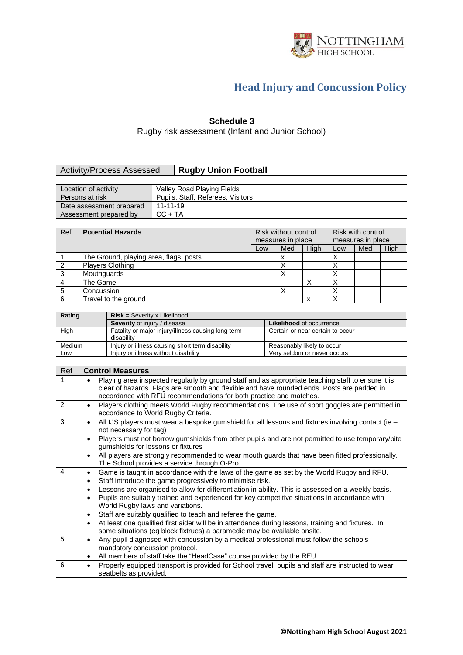

#### **Schedule 3**

Rugby risk assessment (Infant and Junior School)

#### **Activity/Process Assessed | Rugby Union Football**

| Location of activity     | Valley Road Playing Fields        |
|--------------------------|-----------------------------------|
| Persons at risk          | Pupils, Staff, Referees, Visitors |
| Date assessment prepared | $11 - 11 - 19$                    |
| Assessment prepared by   | $CC + TA$                         |

| Ref | <b>Potential Hazards</b>               | Risk without control<br>measures in place |     |      | Risk with control<br>measures in place |     |      |
|-----|----------------------------------------|-------------------------------------------|-----|------|----------------------------------------|-----|------|
|     |                                        | Low                                       | Med | High | Low                                    | Med | High |
|     | The Ground, playing area, flags, posts |                                           | х   |      |                                        |     |      |
|     | <b>Players Clothing</b>                |                                           |     |      |                                        |     |      |
|     | Mouthquards                            |                                           |     |      |                                        |     |      |
|     | The Game                               |                                           |     |      |                                        |     |      |
|     | Concussion                             |                                           |     |      |                                        |     |      |
|     | Travel to the ground                   |                                           |     | x    |                                        |     |      |

| Rating | $Risk = Severity \times Likelihood$                              |                                  |  |
|--------|------------------------------------------------------------------|----------------------------------|--|
|        | <b>Severity</b> of injury / disease                              | <b>Likelihood of occurrence</b>  |  |
| High   | Fatality or major injury/illness causing long term<br>disability | Certain or near certain to occur |  |
| Medium | Injury or illness causing short term disability                  | Reasonably likely to occur       |  |
| Low    | Injury or illness without disability                             | Very seldom or never occurs      |  |

| Ref | <b>Control Measures</b>                                                                                                                                                                                                                                                                                                                                                        |
|-----|--------------------------------------------------------------------------------------------------------------------------------------------------------------------------------------------------------------------------------------------------------------------------------------------------------------------------------------------------------------------------------|
|     | Playing area inspected regularly by ground staff and as appropriate teaching staff to ensure it is<br>clear of hazards. Flags are smooth and flexible and have rounded ends. Posts are padded in<br>accordance with RFU recommendations for both practice and matches.                                                                                                         |
| 2   | Players clothing meets World Rugby recommendations. The use of sport goggles are permitted in<br>$\bullet$<br>accordance to World Rugby Criteria.                                                                                                                                                                                                                              |
| 3   | All IJS players must wear a bespoke gumshield for all lessons and fixtures involving contact (ie -<br>not necessary for tag)                                                                                                                                                                                                                                                   |
|     | Players must not borrow gumshields from other pupils and are not permitted to use temporary/bite<br>gumshields for lessons or fixtures                                                                                                                                                                                                                                         |
|     | All players are strongly recommended to wear mouth guards that have been fitted professionally.<br>The School provides a service through O-Pro                                                                                                                                                                                                                                 |
| 4   | Game is taught in accordance with the laws of the game as set by the World Rugby and RFU.<br>$\bullet$<br>Staff introduce the game progressively to minimise risk.<br>٠<br>Lessons are organised to allow for differentiation in ability. This is assessed on a weekly basis.<br>Pupils are suitably trained and experienced for key competitive situations in accordance with |
|     | World Rugby laws and variations.<br>Staff are suitably qualified to teach and referee the game.                                                                                                                                                                                                                                                                                |
|     | At least one qualified first aider will be in attendance during lessons, training and fixtures. In<br>some situations (eg block fixtrues) a paramedic may be available onsite.                                                                                                                                                                                                 |
| 5   | Any pupil diagnosed with concussion by a medical professional must follow the schools<br>$\bullet$<br>mandatory concussion protocol.<br>All members of staff take the "HeadCase" course provided by the RFU.                                                                                                                                                                   |
| 6   | Properly equipped transport is provided for School travel, pupils and staff are instructed to wear<br>$\bullet$<br>seatbelts as provided.                                                                                                                                                                                                                                      |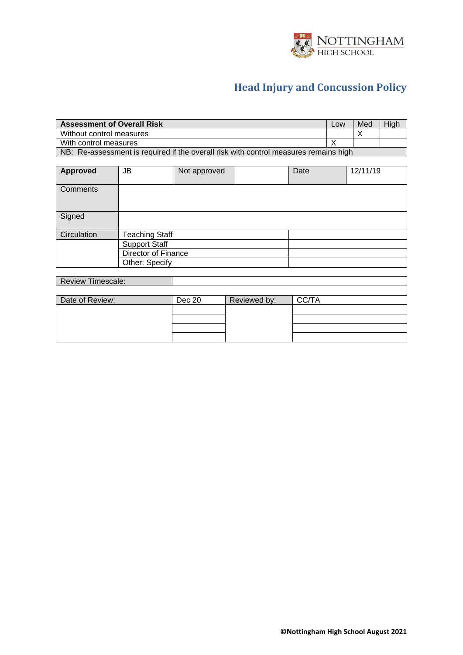

| <b>Assessment of Overall Risk</b>                                                    | Low | Med | High |
|--------------------------------------------------------------------------------------|-----|-----|------|
| Without control measures                                                             |     |     |      |
| With control measures                                                                |     |     |      |
| NB: Re-assessment is required if the overall risk with control measures remains high |     |     |      |

| <b>Approved</b> | JB                    | Not approved | Date | 12/11/19 |
|-----------------|-----------------------|--------------|------|----------|
| Comments        |                       |              |      |          |
| Signed          |                       |              |      |          |
| Circulation     | <b>Teaching Staff</b> |              |      |          |
|                 | <b>Support Staff</b>  |              |      |          |
|                 | Director of Finance   |              |      |          |
|                 | Other: Specify        |              |      |          |

| <b>Review Timescale:</b> |        |              |       |
|--------------------------|--------|--------------|-------|
|                          |        |              |       |
| Date of Review:          | Dec 20 | Reviewed by: | CC/TA |
|                          |        |              |       |
|                          |        |              |       |
|                          |        |              |       |
|                          |        |              |       |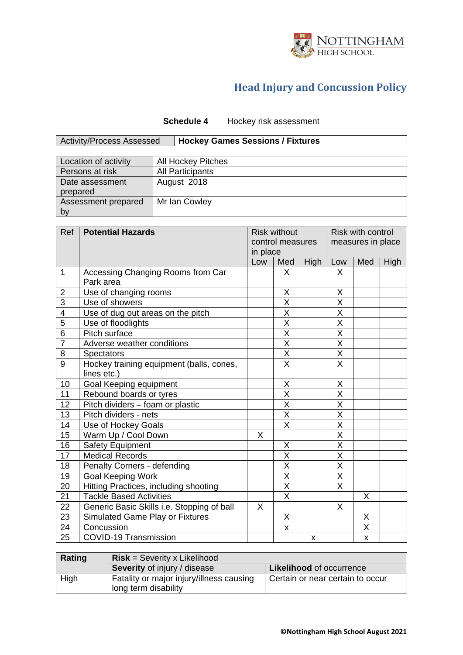

#### **Schedule 4** Hockey risk assessment

Activity/Process Assessed **Hockey Games Sessions / Fixtures**

| Location of activity        | <b>All Hockey Pitches</b> |
|-----------------------------|---------------------------|
| Persons at risk             | <b>All Participants</b>   |
| Date assessment<br>prepared | August 2018               |
| Assessment prepared<br>by   | Mr Ian Cowley             |

| Ref             | <b>Potential Hazards</b>                   |                 | <b>Risk without</b>     |             |                         | <b>Risk with control</b> |      |
|-----------------|--------------------------------------------|-----------------|-------------------------|-------------|-------------------------|--------------------------|------|
|                 |                                            |                 | control measures        |             | measures in place       |                          |      |
|                 |                                            | in place<br>Low | Med                     | <b>High</b> | Low                     | Med                      | High |
| $\mathbf{1}$    | Accessing Changing Rooms from Car          |                 | $\mathsf{X}$            |             | X                       |                          |      |
|                 | Park area                                  |                 |                         |             |                         |                          |      |
| $\overline{c}$  | Use of changing rooms                      |                 | X                       |             | Χ                       |                          |      |
| $\overline{3}$  | Use of showers                             |                 | $\overline{\mathsf{x}}$ |             | X                       |                          |      |
| $\overline{4}$  | Use of dug out areas on the pitch          |                 | $\overline{\mathsf{X}}$ |             | $\overline{\mathsf{x}}$ |                          |      |
| $\overline{5}$  | Use of floodlights                         |                 | $\overline{\mathsf{x}}$ |             | $\overline{\mathsf{x}}$ |                          |      |
| $\overline{6}$  | Pitch surface                              |                 | $\overline{\mathsf{X}}$ |             | $\overline{\mathsf{X}}$ |                          |      |
| $\overline{7}$  | Adverse weather conditions                 |                 | $\overline{\mathsf{x}}$ |             | $\overline{\mathsf{X}}$ |                          |      |
| 8               | <b>Spectators</b>                          |                 | $\overline{\mathsf{X}}$ |             | X                       |                          |      |
| $\overline{9}$  | Hockey training equipment (balls, cones,   |                 | $\overline{X}$          |             | $\overline{\mathsf{x}}$ |                          |      |
|                 | lines etc.)                                |                 |                         |             |                         |                          |      |
| 10              | Goal Keeping equipment                     |                 | X                       |             | Χ                       |                          |      |
| 11              | Rebound boards or tyres                    |                 | $\overline{\mathsf{x}}$ |             | $\overline{\mathsf{X}}$ |                          |      |
| 12              | Pitch dividers - foam or plastic           |                 | $\overline{\mathsf{X}}$ |             | X                       |                          |      |
| 13              | Pitch dividers - nets                      |                 | $\overline{X}$          |             | $\overline{\mathsf{x}}$ |                          |      |
| 14              | Use of Hockey Goals                        |                 | $\overline{\mathsf{x}}$ |             | $\overline{\mathsf{X}}$ |                          |      |
| 15              | Warm Up / Cool Down                        | X.              |                         |             | $\overline{\mathsf{X}}$ |                          |      |
| 16              | <b>Safety Equipment</b>                    |                 | X                       |             | Χ                       |                          |      |
| 17              | <b>Medical Records</b>                     |                 | $\overline{\mathsf{X}}$ |             | X                       |                          |      |
| 18              | Penalty Corners - defending                |                 | $\overline{\mathsf{x}}$ |             | $\overline{\mathsf{x}}$ |                          |      |
| 19              | <b>Goal Keeping Work</b>                   |                 | X                       |             | X                       |                          |      |
| 20              | Hitting Practices, including shooting      |                 | X                       |             | $\overline{\mathsf{X}}$ |                          |      |
| 21              | <b>Tackle Based Activities</b>             |                 | $\overline{\mathsf{x}}$ |             |                         | $\mathsf{X}$             |      |
| 22              | Generic Basic Skills i.e. Stopping of ball | X               |                         |             | X                       |                          |      |
| 23              | Simulated Game Play or Fixtures            |                 | X                       |             |                         | X                        |      |
| $\overline{24}$ | Concussion                                 |                 | X                       |             |                         | $\overline{\mathsf{X}}$  |      |
| 25              | <b>COVID-19 Transmission</b>               |                 |                         | X           |                         | X                        |      |

| Rating | $Risk =$ Severity x Likelihood                                   |                                  |  |
|--------|------------------------------------------------------------------|----------------------------------|--|
|        | <b>Severity of injury / disease</b>                              | <b>Likelihood of occurrence</b>  |  |
| High   | Fatality or major injury/illness causing<br>long term disability | Certain or near certain to occur |  |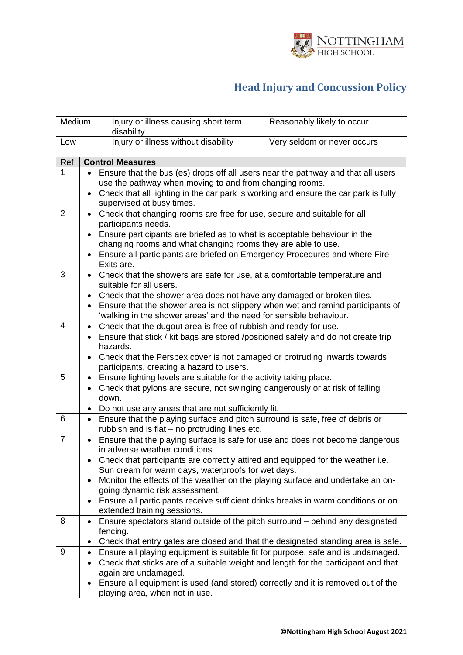

Reasonably likely to occur

|                | disability                                                                                                                                                                                                                                                                                                                                                                                     |                             |  |  |  |
|----------------|------------------------------------------------------------------------------------------------------------------------------------------------------------------------------------------------------------------------------------------------------------------------------------------------------------------------------------------------------------------------------------------------|-----------------------------|--|--|--|
| Low            | Injury or illness without disability                                                                                                                                                                                                                                                                                                                                                           | Very seldom or never occurs |  |  |  |
|                |                                                                                                                                                                                                                                                                                                                                                                                                |                             |  |  |  |
| Ref            | <b>Control Measures</b>                                                                                                                                                                                                                                                                                                                                                                        |                             |  |  |  |
| 1              | Ensure that the bus (es) drops off all users near the pathway and that all users<br>use the pathway when moving to and from changing rooms.<br>Check that all lighting in the car park is working and ensure the car park is fully<br>$\bullet$<br>supervised at busy times.                                                                                                                   |                             |  |  |  |
| $\overline{2}$ | Check that changing rooms are free for use, secure and suitable for all<br>$\bullet$<br>participants needs.<br>Ensure participants are briefed as to what is acceptable behaviour in the<br>changing rooms and what changing rooms they are able to use.                                                                                                                                       |                             |  |  |  |
|                | Ensure all participants are briefed on Emergency Procedures and where Fire<br>Exits are.                                                                                                                                                                                                                                                                                                       |                             |  |  |  |
| 3              | Check that the showers are safe for use, at a comfortable temperature and<br>$\bullet$<br>suitable for all users.<br>Check that the shower area does not have any damaged or broken tiles.<br>$\bullet$<br>• Ensure that the shower area is not slippery when wet and remind participants of<br>'walking in the shower areas' and the need for sensible behaviour.                             |                             |  |  |  |
| 4              | Check that the dugout area is free of rubbish and ready for use.<br>$\bullet$<br>• Ensure that stick / kit bags are stored /positioned safely and do not create trip<br>hazards.<br>Check that the Perspex cover is not damaged or protruding inwards towards<br>participants, creating a hazard to users.                                                                                     |                             |  |  |  |
| 5              | Ensure lighting levels are suitable for the activity taking place.<br>$\bullet$<br>Check that pylons are secure, not swinging dangerously or at risk of falling<br>$\bullet$<br>down.<br>Do not use any areas that are not sufficiently lit.                                                                                                                                                   |                             |  |  |  |
| 6              | Ensure that the playing surface and pitch surround is safe, free of debris or<br>$\bullet$<br>rubbish and is flat - no protruding lines etc.                                                                                                                                                                                                                                                   |                             |  |  |  |
| $\overline{7}$ | Ensure that the playing surface is safe for use and does not become dangerous<br>$\bullet$<br>in adverse weather conditions.<br>Check that participants are correctly attired and equipped for the weather i.e.<br>Sun cream for warm days, waterproofs for wet days.<br>Monitor the effects of the weather on the playing surface and undertake an on-<br>٠<br>going dynamic risk assessment. |                             |  |  |  |
|                | Ensure all participants receive sufficient drinks breaks in warm conditions or on<br>extended training sessions.                                                                                                                                                                                                                                                                               |                             |  |  |  |
| 8              | Ensure spectators stand outside of the pitch surround - behind any designated<br>$\bullet$<br>fencing.<br>Check that entry gates are closed and that the designated standing area is safe.<br>٠                                                                                                                                                                                                |                             |  |  |  |
| 9              | Ensure all playing equipment is suitable fit for purpose, safe and is undamaged.<br>$\bullet$<br>Check that sticks are of a suitable weight and length for the participant and that<br>again are undamaged.<br>Ensure all equipment is used (and stored) correctly and it is removed out of the<br>playing area, when not in use.                                                              |                             |  |  |  |

 $M$ edium | Injury or illness causing short term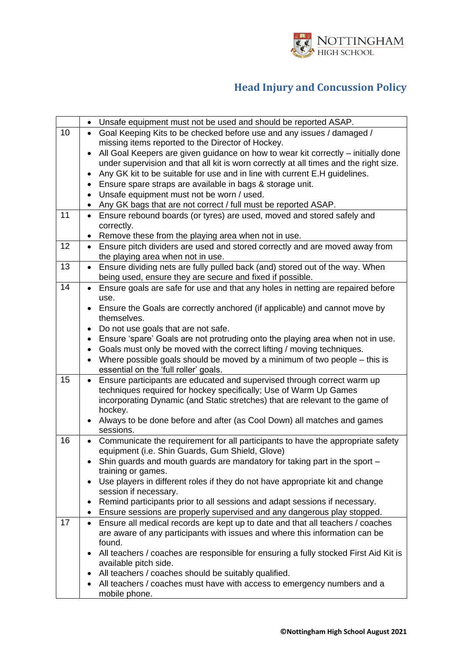

|    | Unsafe equipment must not be used and should be reported ASAP.<br>$\bullet$                          |
|----|------------------------------------------------------------------------------------------------------|
| 10 | Goal Keeping Kits to be checked before use and any issues / damaged /                                |
|    | missing items reported to the Director of Hockey.                                                    |
|    | All Goal Keepers are given guidance on how to wear kit correctly – initially done                    |
|    | under supervision and that all kit is worn correctly at all times and the right size.                |
|    | Any GK kit to be suitable for use and in line with current E.H guidelines.                           |
|    | Ensure spare straps are available in bags & storage unit.                                            |
|    | Unsafe equipment must not be worn / used.<br>$\bullet$                                               |
|    | Any GK bags that are not correct / full must be reported ASAP.<br>$\bullet$                          |
| 11 | Ensure rebound boards (or tyres) are used, moved and stored safely and<br>$\bullet$                  |
|    | correctly.                                                                                           |
|    | Remove these from the playing area when not in use.<br>$\bullet$                                     |
| 12 | Ensure pitch dividers are used and stored correctly and are moved away from<br>$\bullet$             |
|    | the playing area when not in use.                                                                    |
| 13 | Ensure dividing nets are fully pulled back (and) stored out of the way. When<br>$\bullet$            |
|    | being used, ensure they are secure and fixed if possible.                                            |
| 14 | Ensure goals are safe for use and that any holes in netting are repaired before<br>$\bullet$<br>use. |
|    | Ensure the Goals are correctly anchored (if applicable) and cannot move by                           |
|    | themselves.                                                                                          |
|    | Do not use goals that are not safe.                                                                  |
|    | Ensure 'spare' Goals are not protruding onto the playing area when not in use.<br>$\bullet$          |
|    | Goals must only be moved with the correct lifting / moving techniques.<br>$\bullet$                  |
|    | Where possible goals should be moved by a minimum of two people $-$ this is<br>$\bullet$             |
|    | essential on the 'full roller' goals.                                                                |
| 15 | Ensure participants are educated and supervised through correct warm up<br>$\bullet$                 |
|    | techniques required for hockey specifically; Use of Warm Up Games                                    |
|    | incorporating Dynamic (and Static stretches) that are relevant to the game of                        |
|    | hockey.                                                                                              |
|    | Always to be done before and after (as Cool Down) all matches and games                              |
| 16 | sessions.<br>Communicate the requirement for all participants to have the appropriate safety         |
|    | $\bullet$<br>equipment (i.e. Shin Guards, Gum Shield, Glove)                                         |
|    | Shin guards and mouth guards are mandatory for taking part in the sport -<br>٠                       |
|    | training or games.                                                                                   |
|    | Use players in different roles if they do not have appropriate kit and change                        |
|    | session if necessary.                                                                                |
|    | Remind participants prior to all sessions and adapt sessions if necessary.<br>٠                      |
|    | Ensure sessions are properly supervised and any dangerous play stopped.<br>٠                         |
| 17 | Ensure all medical records are kept up to date and that all teachers / coaches<br>$\bullet$          |
|    | are aware of any participants with issues and where this information can be                          |
|    | found.                                                                                               |
|    | All teachers / coaches are responsible for ensuring a fully stocked First Aid Kit is<br>٠            |
|    | available pitch side.                                                                                |
|    | All teachers / coaches should be suitably qualified.<br>٠                                            |
|    | All teachers / coaches must have with access to emergency numbers and a                              |
|    | mobile phone.                                                                                        |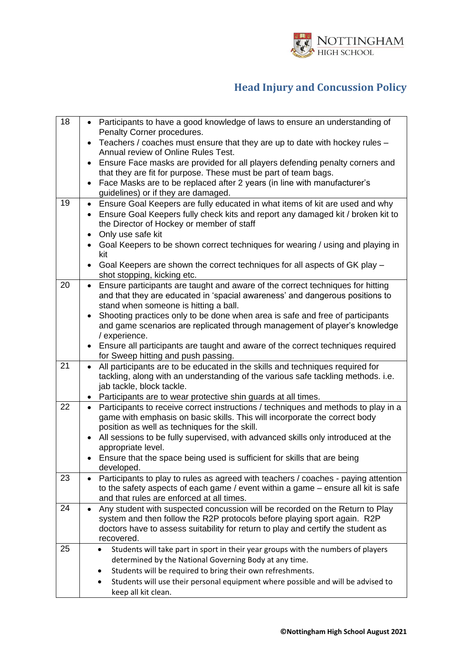

| 18 | • Participants to have a good knowledge of laws to ensure an understanding of                                                                                               |
|----|-----------------------------------------------------------------------------------------------------------------------------------------------------------------------------|
|    | Penalty Corner procedures.<br>Teachers / coaches must ensure that they are up to date with hockey rules -<br>$\bullet$                                                      |
|    | Annual review of Online Rules Test.                                                                                                                                         |
|    | Ensure Face masks are provided for all players defending penalty corners and<br>$\bullet$                                                                                   |
|    | that they are fit for purpose. These must be part of team bags.                                                                                                             |
|    | Face Masks are to be replaced after 2 years (in line with manufacturer's<br>$\bullet$<br>guidelines) or if they are damaged.                                                |
| 19 | Ensure Goal Keepers are fully educated in what items of kit are used and why<br>$\bullet$                                                                                   |
|    | Ensure Goal Keepers fully check kits and report any damaged kit / broken kit to                                                                                             |
|    | the Director of Hockey or member of staff                                                                                                                                   |
|    | Only use safe kit<br>$\bullet$                                                                                                                                              |
|    | Goal Keepers to be shown correct techniques for wearing / using and playing in<br>$\bullet$<br>kit                                                                          |
|    | Goal Keepers are shown the correct techniques for all aspects of GK play -<br>$\bullet$                                                                                     |
|    | shot stopping, kicking etc.                                                                                                                                                 |
| 20 | Ensure participants are taught and aware of the correct techniques for hitting<br>$\bullet$<br>and that they are educated in 'spacial awareness' and dangerous positions to |
|    | stand when someone is hitting a ball.                                                                                                                                       |
|    | • Shooting practices only to be done when area is safe and free of participants                                                                                             |
|    | and game scenarios are replicated through management of player's knowledge                                                                                                  |
|    | / experience.                                                                                                                                                               |
|    | Ensure all participants are taught and aware of the correct techniques required<br>for Sweep hitting and push passing.                                                      |
| 21 | All participants are to be educated in the skills and techniques required for<br>$\bullet$                                                                                  |
|    | tackling, along with an understanding of the various safe tackling methods. i.e.                                                                                            |
|    | jab tackle, block tackle.                                                                                                                                                   |
|    | • Participants are to wear protective shin guards at all times.                                                                                                             |
| 22 | Participants to receive correct instructions / techniques and methods to play in a<br>$\bullet$                                                                             |
|    | game with emphasis on basic skills. This will incorporate the correct body<br>position as well as techniques for the skill.                                                 |
|    | All sessions to be fully supervised, with advanced skills only introduced at the                                                                                            |
|    | appropriate level.                                                                                                                                                          |
|    | Ensure that the space being used is sufficient for skills that are being                                                                                                    |
|    | developed.                                                                                                                                                                  |
| 23 | Participants to play to rules as agreed with teachers / coaches - paying attention<br>to the safety aspects of each game / event within a game – ensure all kit is safe     |
|    | and that rules are enforced at all times.                                                                                                                                   |
| 24 | Any student with suspected concussion will be recorded on the Return to Play<br>$\bullet$                                                                                   |
|    | system and then follow the R2P protocols before playing sport again. R2P                                                                                                    |
|    | doctors have to assess suitability for return to play and certify the student as<br>recovered.                                                                              |
| 25 | Students will take part in sport in their year groups with the numbers of players                                                                                           |
|    | determined by the National Governing Body at any time.                                                                                                                      |
|    | Students will be required to bring their own refreshments.                                                                                                                  |
|    | Students will use their personal equipment where possible and will be advised to<br>$\bullet$                                                                               |
|    | keep all kit clean.                                                                                                                                                         |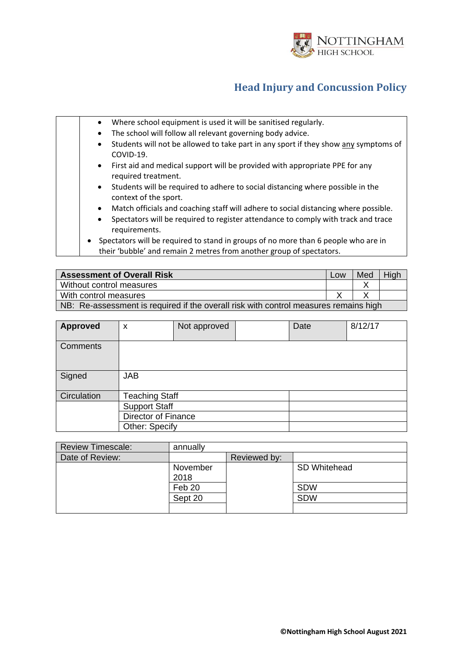

| Where school equipment is used it will be sanitised regularly.<br>$\bullet$                                                                                             |
|-------------------------------------------------------------------------------------------------------------------------------------------------------------------------|
| The school will follow all relevant governing body advice.<br>$\bullet$                                                                                                 |
| Students will not be allowed to take part in any sport if they show any symptoms of<br>$\bullet$<br>COVID-19.                                                           |
| First aid and medical support will be provided with appropriate PPE for any<br>$\bullet$<br>required treatment.                                                         |
| Students will be required to adhere to social distancing where possible in the<br>$\bullet$<br>context of the sport.                                                    |
| Match officials and coaching staff will adhere to social distancing where possible.<br>$\bullet$                                                                        |
| Spectators will be required to register attendance to comply with track and trace<br>$\bullet$<br>requirements.                                                         |
| Spectators will be required to stand in groups of no more than 6 people who are in<br>$\bullet$<br>their 'bubble' and remain 2 metres from another group of spectators. |

| <b>Assessment of Overall Risk</b>                                                    | Low | Med | High |  |
|--------------------------------------------------------------------------------------|-----|-----|------|--|
| Without control measures                                                             |     |     |      |  |
| With control measures                                                                |     |     |      |  |
| NB: Re-assessment is required if the overall risk with control measures remains high |     |     |      |  |

| <b>Approved</b> | X                          | Not approved |  | Date | 8/12/17 |
|-----------------|----------------------------|--------------|--|------|---------|
| <b>Comments</b> |                            |              |  |      |         |
| Signed          | <b>JAB</b>                 |              |  |      |         |
| Circulation     | <b>Teaching Staff</b>      |              |  |      |         |
|                 | <b>Support Staff</b>       |              |  |      |         |
|                 | <b>Director of Finance</b> |              |  |      |         |
|                 | Other: Specify             |              |  |      |         |

| <b>Review Timescale:</b> | annually |              |              |
|--------------------------|----------|--------------|--------------|
| Date of Review:          |          | Reviewed by: |              |
|                          | November |              | SD Whitehead |
|                          | 2018     |              |              |
|                          | Feb 20   |              | <b>SDW</b>   |
|                          | Sept 20  |              | <b>SDW</b>   |
|                          |          |              |              |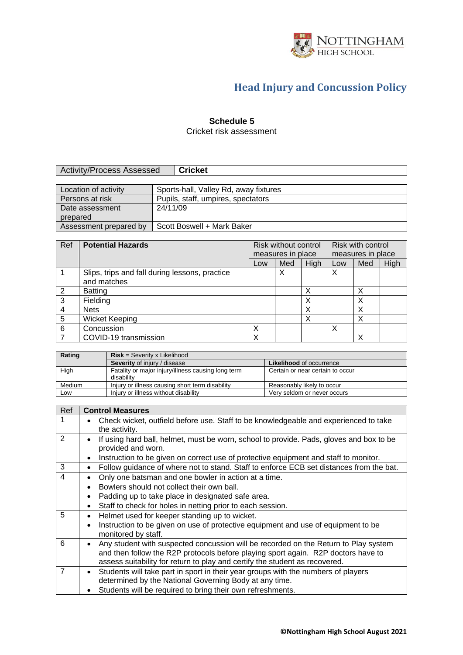

#### **Schedule 5**

Cricket risk assessment

| Activity/Process Assessed | <b>Cricket</b> |
|---------------------------|----------------|
|                           |                |

| Location of activity   | Sports-hall, Valley Rd, away fixtures |
|------------------------|---------------------------------------|
| Persons at risk        | Pupils, staff, umpires, spectators    |
| Date assessment        | 24/11/09                              |
| prepared               |                                       |
| Assessment prepared by | Scott Boswell + Mark Baker            |

| Ref | <b>Potential Hazards</b>                       | Risk without control |                   | Risk with control |                   |     |      |
|-----|------------------------------------------------|----------------------|-------------------|-------------------|-------------------|-----|------|
|     |                                                |                      | measures in place |                   | measures in place |     |      |
|     |                                                | Low                  | Med               | High              | Low               | Med | High |
|     | Slips, trips and fall during lessons, practice |                      | х                 |                   | X                 |     |      |
|     | and matches                                    |                      |                   |                   |                   |     |      |
| 2   | <b>Batting</b>                                 |                      |                   |                   |                   | ◡   |      |
| 3   | Fielding                                       |                      |                   |                   |                   |     |      |
| 4   | <b>Nets</b>                                    |                      |                   |                   |                   |     |      |
| 5   | <b>Wicket Keeping</b>                          |                      |                   |                   |                   |     |      |
| 6   | Concussion                                     | Х                    |                   |                   | Х                 |     |      |
|     | COVID-19 transmission                          | х                    |                   |                   |                   | v   |      |

| Rating | $Risk = Severity \times Likelihood$                              |                                  |  |  |  |
|--------|------------------------------------------------------------------|----------------------------------|--|--|--|
|        | <b>Severity</b> of injury / disease                              | <b>Likelihood of occurrence</b>  |  |  |  |
| High   | Fatality or major injury/illness causing long term<br>disability | Certain or near certain to occur |  |  |  |
| Medium | Injury or illness causing short term disability                  | Reasonably likely to occur       |  |  |  |
| Low    | Injury or illness without disability                             | Very seldom or never occurs      |  |  |  |

| <b>Control Measures</b>                                                                                                                     |
|---------------------------------------------------------------------------------------------------------------------------------------------|
| Check wicket, outfield before use. Staff to be knowledgeable and experienced to take<br>the activity.                                       |
| If using hard ball, helmet, must be worn, school to provide. Pads, gloves and box to be<br>provided and worn.                               |
| Instruction to be given on correct use of protective equipment and staff to monitor.<br>٠                                                   |
| Follow guidance of where not to stand. Staff to enforce ECB set distances from the bat.<br>٠                                                |
| Only one batsman and one bowler in action at a time.<br>٠                                                                                   |
| Bowlers should not collect their own ball.                                                                                                  |
| Padding up to take place in designated safe area.                                                                                           |
| Staff to check for holes in netting prior to each session.                                                                                  |
| Helmet used for keeper standing up to wicket.<br>٠                                                                                          |
| Instruction to be given on use of protective equipment and use of equipment to be                                                           |
| monitored by staff.                                                                                                                         |
| Any student with suspected concussion will be recorded on the Return to Play system                                                         |
| and then follow the R2P protocols before playing sport again. R2P doctors have to                                                           |
| assess suitability for return to play and certify the student as recovered.                                                                 |
| Students will take part in sport in their year groups with the numbers of players<br>determined by the National Governing Body at any time. |
| Students will be required to bring their own refreshments.                                                                                  |
|                                                                                                                                             |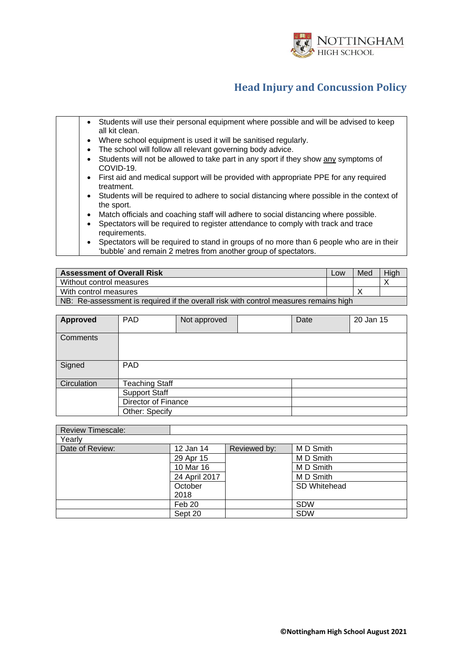

|  | Students will use their personal equipment where possible and will be advised to keep<br>$\bullet$<br>all kit clean. |  |
|--|----------------------------------------------------------------------------------------------------------------------|--|
|  | Where school equipment is used it will be sanitised regularly.<br>$\bullet$                                          |  |
|  | The school will follow all relevant governing body advice.<br>٠                                                      |  |
|  | Students will not be allowed to take part in any sport if they show any symptoms of<br>COVID-19.                     |  |
|  | First aid and medical support will be provided with appropriate PPE for any required<br>$\bullet$<br>treatment.      |  |
|  | Students will be required to adhere to social distancing where possible in the context of<br>$\bullet$<br>the sport. |  |
|  | Match officials and coaching staff will adhere to social distancing where possible.<br>$\bullet$                     |  |
|  | Spectators will be required to register attendance to comply with track and trace<br>٠<br>requirements.              |  |
|  | Spectators will be required to stand in groups of no more than 6 people who are in their                             |  |

| <b>Assessment of Overall Risk</b> | Low | Med | Hiał |
|-----------------------------------|-----|-----|------|
| Without control measures          |     |     |      |
| With control measures             |     |     |      |

NB: Re-assessment is required if the overall risk with control measures remains high

'bubble' and remain 2 metres from another group of spectators.

| Approved    | <b>PAD</b>            | Not approved |  | Date | 20 Jan 15 |
|-------------|-----------------------|--------------|--|------|-----------|
| Comments    |                       |              |  |      |           |
| Signed      | PAD                   |              |  |      |           |
| Circulation | <b>Teaching Staff</b> |              |  |      |           |
|             | <b>Support Staff</b>  |              |  |      |           |
|             | Director of Finance   |              |  |      |           |
|             | Other: Specify        |              |  |      |           |

| <b>Review Timescale:</b> |               |              |              |
|--------------------------|---------------|--------------|--------------|
| Yearly                   |               |              |              |
| Date of Review:          | 12 Jan 14     | Reviewed by: | M D Smith    |
|                          | 29 Apr 15     |              | M D Smith    |
|                          | 10 Mar 16     |              | M D Smith    |
|                          | 24 April 2017 |              | M D Smith    |
|                          | October       |              | SD Whitehead |
|                          | 2018          |              |              |
|                          | Feb 20        |              | <b>SDW</b>   |
|                          | Sept 20       |              | <b>SDW</b>   |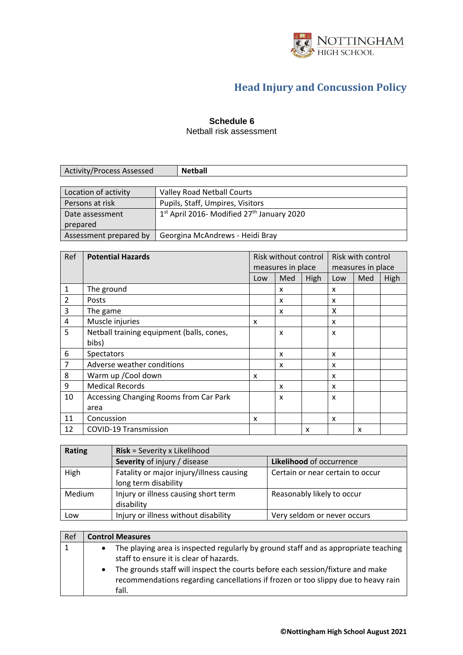

#### **Schedule 6**

Netball risk assessment

| Activity/Process Assessed |  |
|---------------------------|--|
|                           |  |

| Location of activity   | Valley Road Netball Courts                               |
|------------------------|----------------------------------------------------------|
| Persons at risk        | Pupils, Staff, Umpires, Visitors                         |
| Date assessment        | $1st$ April 2016- Modified 27 <sup>th</sup> January 2020 |
| prepared               |                                                          |
| Assessment prepared by | Georgina McAndrews - Heidi Bray                          |

| Ref            | <b>Potential Hazards</b>                  |     | Risk without control      |      |     | Risk with control |      |
|----------------|-------------------------------------------|-----|---------------------------|------|-----|-------------------|------|
|                |                                           |     | measures in place         |      |     | measures in place |      |
|                |                                           | Low | Med                       | High | Low | Med               | High |
| $\mathbf{1}$   | The ground                                |     | x                         |      | x   |                   |      |
| $\overline{2}$ | Posts                                     |     | x                         |      | x   |                   |      |
| 3              | The game                                  |     | $\boldsymbol{\mathsf{x}}$ |      | X   |                   |      |
| 4              | Muscle injuries                           | x   |                           |      | X   |                   |      |
| 5              | Netball training equipment (balls, cones, |     | x                         |      | X   |                   |      |
|                | bibs)                                     |     |                           |      |     |                   |      |
| 6              | <b>Spectators</b>                         |     | x                         |      | x   |                   |      |
| $\overline{7}$ | Adverse weather conditions                |     | $\boldsymbol{\mathsf{x}}$ |      | X   |                   |      |
| 8              | Warm up / Cool down                       | X   |                           |      | x   |                   |      |
| 9              | <b>Medical Records</b>                    |     | x                         |      | x   |                   |      |
| 10             | Accessing Changing Rooms from Car Park    |     | $\boldsymbol{\mathsf{x}}$ |      | X   |                   |      |
|                | area                                      |     |                           |      |     |                   |      |
| 11             | Concussion                                | x   |                           |      | x   |                   |      |
| 12             | <b>COVID-19 Transmission</b>              |     |                           | x    |     | x                 |      |

| Rating        | <b>Risk</b> = Severity x Likelihood      |                                  |  |
|---------------|------------------------------------------|----------------------------------|--|
|               | Severity of injury / disease             | Likelihood of occurrence         |  |
| High          | Fatality or major injury/illness causing | Certain or near certain to occur |  |
|               | long term disability                     |                                  |  |
| <b>Medium</b> | Injury or illness causing short term     | Reasonably likely to occur       |  |
|               | disability                               |                                  |  |
| Low           | Injury or illness without disability     | Very seldom or never occurs      |  |

| Ref |           | <b>Control Measures</b>                                                                                                                                                                                                                                                                                        |
|-----|-----------|----------------------------------------------------------------------------------------------------------------------------------------------------------------------------------------------------------------------------------------------------------------------------------------------------------------|
|     | $\bullet$ | The playing area is inspected regularly by ground staff and as appropriate teaching<br>staff to ensure it is clear of hazards.<br>The grounds staff will inspect the courts before each session/fixture and make<br>recommendations regarding cancellations if frozen or too slippy due to heavy rain<br>fall. |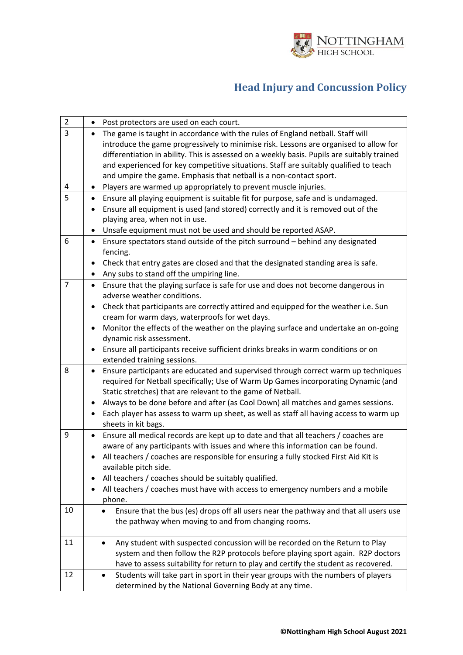

| $\overline{2}$ | Post protectors are used on each court.                                                                                                                                                                                                                                                                                                                                                                                                                                                                                |
|----------------|------------------------------------------------------------------------------------------------------------------------------------------------------------------------------------------------------------------------------------------------------------------------------------------------------------------------------------------------------------------------------------------------------------------------------------------------------------------------------------------------------------------------|
| 3              | The game is taught in accordance with the rules of England netball. Staff will<br>introduce the game progressively to minimise risk. Lessons are organised to allow for<br>differentiation in ability. This is assessed on a weekly basis. Pupils are suitably trained<br>and experienced for key competitive situations. Staff are suitably qualified to teach<br>and umpire the game. Emphasis that netball is a non-contact sport.                                                                                  |
| $\overline{4}$ | Players are warmed up appropriately to prevent muscle injuries.<br>$\bullet$                                                                                                                                                                                                                                                                                                                                                                                                                                           |
| 5              | Ensure all playing equipment is suitable fit for purpose, safe and is undamaged.<br>$\bullet$<br>Ensure all equipment is used (and stored) correctly and it is removed out of the<br>playing area, when not in use.<br>Unsafe equipment must not be used and should be reported ASAP.<br>٠                                                                                                                                                                                                                             |
| 6              | Ensure spectators stand outside of the pitch surround - behind any designated<br>$\bullet$<br>fencing.<br>Check that entry gates are closed and that the designated standing area is safe.<br>٠<br>Any subs to stand off the umpiring line.<br>٠                                                                                                                                                                                                                                                                       |
| $\overline{7}$ | Ensure that the playing surface is safe for use and does not become dangerous in<br>$\bullet$<br>adverse weather conditions.<br>Check that participants are correctly attired and equipped for the weather i.e. Sun<br>cream for warm days, waterproofs for wet days.<br>Monitor the effects of the weather on the playing surface and undertake an on-going<br>٠<br>dynamic risk assessment.<br>Ensure all participants receive sufficient drinks breaks in warm conditions or on<br>٠<br>extended training sessions. |
| 8              | Ensure participants are educated and supervised through correct warm up techniques<br>required for Netball specifically; Use of Warm Up Games incorporating Dynamic (and<br>Static stretches) that are relevant to the game of Netball.<br>Always to be done before and after (as Cool Down) all matches and games sessions.<br>Each player has assess to warm up sheet, as well as staff all having access to warm up<br>sheets in kit bags.                                                                          |
| 9              | Ensure all medical records are kept up to date and that all teachers / coaches are<br>$\bullet$<br>aware of any participants with issues and where this information can be found.<br>All teachers / coaches are responsible for ensuring a fully stocked First Aid Kit is<br>available pitch side.<br>All teachers / coaches should be suitably qualified.<br>All teachers / coaches must have with access to emergency numbers and a mobile<br>phone.                                                                 |
| 10             | Ensure that the bus (es) drops off all users near the pathway and that all users use<br>the pathway when moving to and from changing rooms.                                                                                                                                                                                                                                                                                                                                                                            |
| 11             | Any student with suspected concussion will be recorded on the Return to Play<br>system and then follow the R2P protocols before playing sport again. R2P doctors<br>have to assess suitability for return to play and certify the student as recovered.                                                                                                                                                                                                                                                                |
| 12             | Students will take part in sport in their year groups with the numbers of players<br>determined by the National Governing Body at any time.                                                                                                                                                                                                                                                                                                                                                                            |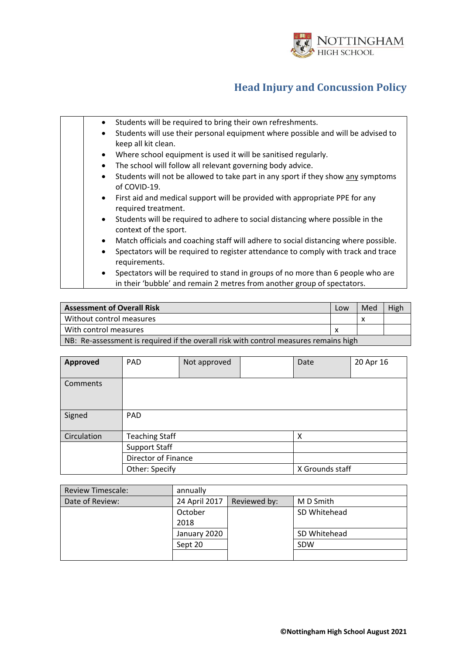

| Students will be required to bring their own refreshments.<br>$\bullet$                                                                                                 |
|-------------------------------------------------------------------------------------------------------------------------------------------------------------------------|
| Students will use their personal equipment where possible and will be advised to<br>$\bullet$                                                                           |
| keep all kit clean.                                                                                                                                                     |
| Where school equipment is used it will be sanitised regularly.<br>$\bullet$                                                                                             |
| The school will follow all relevant governing body advice.<br>$\bullet$                                                                                                 |
| Students will not be allowed to take part in any sport if they show any symptoms<br>$\bullet$<br>of COVID-19.                                                           |
| First aid and medical support will be provided with appropriate PPE for any<br>$\bullet$<br>required treatment.                                                         |
| Students will be required to adhere to social distancing where possible in the<br>$\bullet$<br>context of the sport.                                                    |
| Match officials and coaching staff will adhere to social distancing where possible.<br>$\bullet$                                                                        |
| Spectators will be required to register attendance to comply with track and trace<br>$\bullet$<br>requirements.                                                         |
| Spectators will be required to stand in groups of no more than 6 people who are<br>$\bullet$<br>in their 'bubble' and remain 2 metres from another group of spectators. |

| <b>Assessment of Overall Risk</b>                                                    | Low | Med | High |
|--------------------------------------------------------------------------------------|-----|-----|------|
| Without control measures                                                             |     |     |      |
| With control measures                                                                |     |     |      |
| NB: Re-assessment is required if the overall risk with control measures remains high |     |     |      |

| <b>Approved</b> | PAD                        | Not approved |  | Date            | 20 Apr 16 |
|-----------------|----------------------------|--------------|--|-----------------|-----------|
| Comments        |                            |              |  |                 |           |
| Signed          | <b>PAD</b>                 |              |  |                 |           |
| Circulation     | <b>Teaching Staff</b><br>X |              |  |                 |           |
|                 | <b>Support Staff</b>       |              |  |                 |           |
|                 | Director of Finance        |              |  |                 |           |
|                 | Other: Specify             |              |  | X Grounds staff |           |

| <b>Review Timescale:</b> | annually      |              |              |
|--------------------------|---------------|--------------|--------------|
| Date of Review:          | 24 April 2017 | Reviewed by: | M D Smith    |
|                          | October       |              | SD Whitehead |
|                          | 2018          |              |              |
|                          | January 2020  |              | SD Whitehead |
|                          | Sept 20       |              | <b>SDW</b>   |
|                          |               |              |              |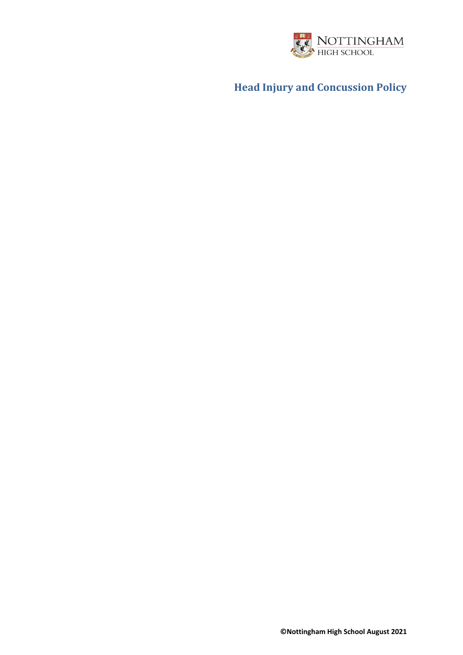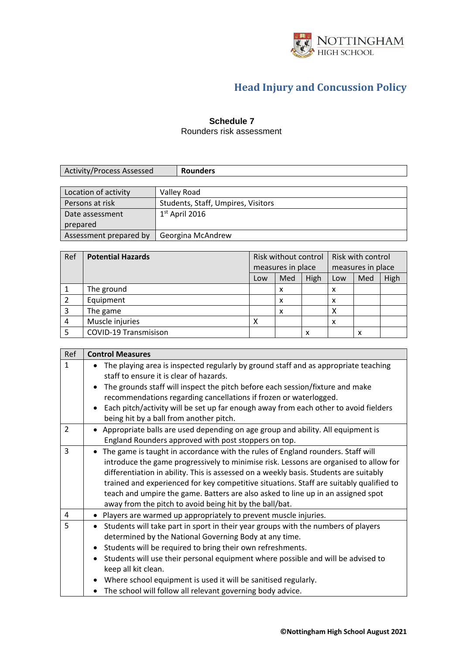

#### **Schedule 7**

Rounders risk assessment

| Activity/Process Assessed | ders |
|---------------------------|------|

| Location of activity   | Valley Road                        |
|------------------------|------------------------------------|
| Persons at risk        | Students, Staff, Umpires, Visitors |
| Date assessment        | $1st$ April 2016                   |
| prepared               |                                    |
| Assessment prepared by | Georgina McAndrew                  |

| Ref | <b>Potential Hazards</b>     | Risk without control |                   | Risk with control |                   |     |      |
|-----|------------------------------|----------------------|-------------------|-------------------|-------------------|-----|------|
|     |                              |                      | measures in place |                   | measures in place |     |      |
|     |                              | Low                  | Med               | High              | Low               | Med | High |
|     | The ground                   |                      | x                 |                   | X                 |     |      |
|     | Equipment                    |                      | x                 |                   | х                 |     |      |
|     | The game                     |                      | x                 |                   | χ                 |     |      |
| 4   | Muscle injuries              | x                    |                   |                   | X                 |     |      |
|     | <b>COVID-19 Transmisison</b> |                      |                   | x                 |                   | x   |      |

| Ref            | <b>Control Measures</b>                                                                                                                                                                                                                                                                                                                                                                                                                                                                                     |
|----------------|-------------------------------------------------------------------------------------------------------------------------------------------------------------------------------------------------------------------------------------------------------------------------------------------------------------------------------------------------------------------------------------------------------------------------------------------------------------------------------------------------------------|
| $\mathbf{1}$   | The playing area is inspected regularly by ground staff and as appropriate teaching<br>staff to ensure it is clear of hazards.<br>The grounds staff will inspect the pitch before each session/fixture and make                                                                                                                                                                                                                                                                                             |
|                | recommendations regarding cancellations if frozen or waterlogged.                                                                                                                                                                                                                                                                                                                                                                                                                                           |
|                | Each pitch/activity will be set up far enough away from each other to avoid fielders<br>being hit by a ball from another pitch.                                                                                                                                                                                                                                                                                                                                                                             |
| $\overline{2}$ | • Appropriate balls are used depending on age group and ability. All equipment is<br>England Rounders approved with post stoppers on top.                                                                                                                                                                                                                                                                                                                                                                   |
| 3              | The game is taught in accordance with the rules of England rounders. Staff will<br>introduce the game progressively to minimise risk. Lessons are organised to allow for<br>differentiation in ability. This is assessed on a weekly basis. Students are suitably<br>trained and experienced for key competitive situations. Staff are suitably qualified to<br>teach and umpire the game. Batters are also asked to line up in an assigned spot<br>away from the pitch to avoid being hit by the ball/bat. |
| 4              | • Players are warmed up appropriately to prevent muscle injuries.                                                                                                                                                                                                                                                                                                                                                                                                                                           |
| 5              | Students will take part in sport in their year groups with the numbers of players<br>determined by the National Governing Body at any time.<br>Students will be required to bring their own refreshments.<br>$\bullet$<br>Students will use their personal equipment where possible and will be advised to<br>keep all kit clean.<br>Where school equipment is used it will be sanitised regularly.                                                                                                         |
|                | The school will follow all relevant governing body advice.                                                                                                                                                                                                                                                                                                                                                                                                                                                  |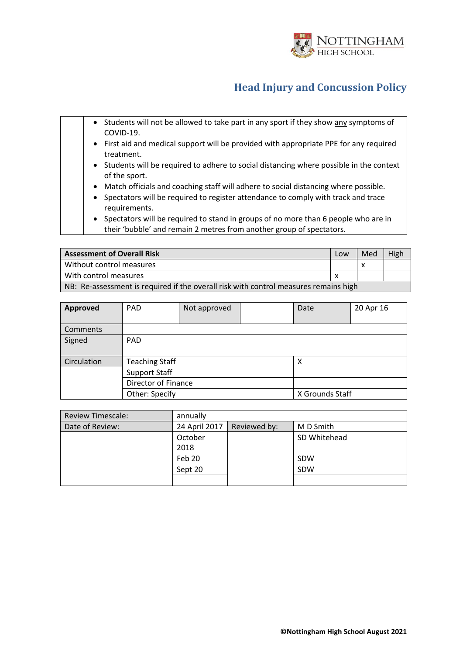

| • Students will not be allowed to take part in any sport if they show any symptoms of<br>COVID-19.                                                           |
|--------------------------------------------------------------------------------------------------------------------------------------------------------------|
| • First aid and medical support will be provided with appropriate PPE for any required<br>treatment.                                                         |
| • Students will be required to adhere to social distancing where possible in the context<br>of the sport.                                                    |
| • Match officials and coaching staff will adhere to social distancing where possible.                                                                        |
| • Spectators will be required to register attendance to comply with track and trace<br>requirements.                                                         |
| • Spectators will be required to stand in groups of no more than 6 people who are in<br>their 'bubble' and remain 2 metres from another group of spectators. |

| <b>Assessment of Overall Risk</b>                                                    | Low | Med | High |  |  |
|--------------------------------------------------------------------------------------|-----|-----|------|--|--|
| Without control measures                                                             |     |     |      |  |  |
| With control measures                                                                |     |     |      |  |  |
| NB: Re-assessment is required if the overall risk with control measures remains high |     |     |      |  |  |

| Approved    | PAD.                              | Not approved |  | Date | 20 Apr 16 |  |
|-------------|-----------------------------------|--------------|--|------|-----------|--|
| Comments    |                                   |              |  |      |           |  |
| Signed      | PAD.                              |              |  |      |           |  |
| Circulation | <b>Teaching Staff</b><br>х        |              |  |      |           |  |
|             | <b>Support Staff</b>              |              |  |      |           |  |
|             | Director of Finance               |              |  |      |           |  |
|             | Other: Specify<br>X Grounds Staff |              |  |      |           |  |

| <b>Review Timescale:</b> | annually      |              |              |  |  |
|--------------------------|---------------|--------------|--------------|--|--|
| Date of Review:          | 24 April 2017 | Reviewed by: | M D Smith    |  |  |
|                          | October       |              | SD Whitehead |  |  |
|                          | 2018          |              |              |  |  |
|                          | Feb 20        |              | SDW          |  |  |
|                          | Sept 20       |              | SDW          |  |  |
|                          |               |              |              |  |  |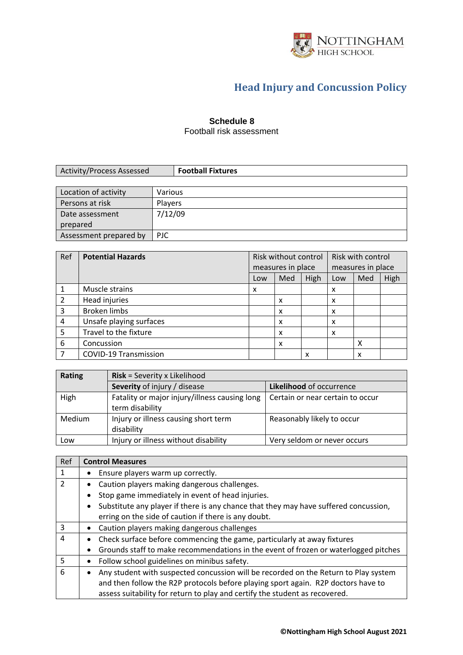

#### **Schedule 8**

Football risk assessment

| <b>Activity/Process Assessed</b> | <b>Football Fixtures</b> |
|----------------------------------|--------------------------|
|                                  |                          |
| Location of activity             | Various                  |
| Persons at risk                  | <b>Players</b>           |
| Date assessment                  | 7/12/09                  |

prepared

Assessment prepared by PJC

| Ref            | <b>Potential Hazards</b>     | Risk without control |                   | Risk with control |                   |     |      |
|----------------|------------------------------|----------------------|-------------------|-------------------|-------------------|-----|------|
|                |                              |                      | measures in place |                   | measures in place |     |      |
|                |                              | Low                  | Med               | High              | Low               | Med | High |
|                | Muscle strains               | x                    |                   |                   | x                 |     |      |
| $\overline{2}$ | Head injuries                |                      | x                 |                   | x                 |     |      |
| 3              | <b>Broken limbs</b>          |                      | X                 |                   | x                 |     |      |
| 4              | Unsafe playing surfaces      |                      | x                 |                   | x                 |     |      |
| 5              | Travel to the fixture        |                      | X                 |                   | x                 |     |      |
| 6              | Concussion                   |                      | X                 |                   |                   | x   |      |
|                | <b>COVID-19 Transmission</b> |                      |                   | x                 |                   | x   |      |

| <b>Rating</b> | <b>Risk</b> = Severity x Likelihood                              |                                  |  |  |  |  |
|---------------|------------------------------------------------------------------|----------------------------------|--|--|--|--|
|               | Severity of injury / disease                                     | Likelihood of occurrence         |  |  |  |  |
| High          | Fatality or major injury/illness causing long<br>term disability | Certain or near certain to occur |  |  |  |  |
| Medium        | Injury or illness causing short term<br>disability               | Reasonably likely to occur       |  |  |  |  |
| Low           | Injury or illness without disability                             | Very seldom or never occurs      |  |  |  |  |

| Ref            | <b>Control Measures</b>                                                              |
|----------------|--------------------------------------------------------------------------------------|
|                | Ensure players warm up correctly.                                                    |
| $\mathfrak{p}$ | Caution players making dangerous challenges.                                         |
|                | Stop game immediately in event of head injuries.<br>٠                                |
|                | Substitute any player if there is any chance that they may have suffered concussion, |
|                | erring on the side of caution if there is any doubt.                                 |
| 3              | Caution players making dangerous challenges                                          |
| 4              | Check surface before commencing the game, particularly at away fixtures<br>$\bullet$ |
|                | Grounds staff to make recommendations in the event of frozen or waterlogged pitches  |
| 5              | Follow school guidelines on minibus safety.                                          |
| 6              | Any student with suspected concussion will be recorded on the Return to Play system  |
|                | and then follow the R2P protocols before playing sport again. R2P doctors have to    |
|                | assess suitability for return to play and certify the student as recovered.          |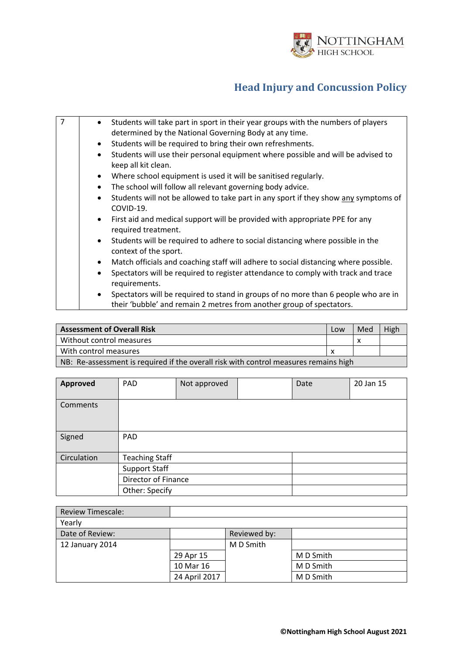

| $\overline{7}$ | Students will take part in sport in their year groups with the numbers of players<br>$\bullet$<br>determined by the National Governing Body at any time.                |
|----------------|-------------------------------------------------------------------------------------------------------------------------------------------------------------------------|
|                | Students will be required to bring their own refreshments.<br>$\bullet$                                                                                                 |
|                | Students will use their personal equipment where possible and will be advised to<br>$\bullet$<br>keep all kit clean.                                                    |
|                | Where school equipment is used it will be sanitised regularly.<br>$\bullet$                                                                                             |
|                | The school will follow all relevant governing body advice.<br>$\bullet$                                                                                                 |
|                | Students will not be allowed to take part in any sport if they show any symptoms of<br>$\bullet$<br>COVID-19.                                                           |
|                | • First aid and medical support will be provided with appropriate PPE for any<br>required treatment.                                                                    |
|                | Students will be required to adhere to social distancing where possible in the<br>$\bullet$<br>context of the sport.                                                    |
|                | Match officials and coaching staff will adhere to social distancing where possible.<br>$\bullet$                                                                        |
|                | Spectators will be required to register attendance to comply with track and trace<br>$\bullet$<br>requirements.                                                         |
|                | Spectators will be required to stand in groups of no more than 6 people who are in<br>$\bullet$<br>their 'bubble' and remain 2 metres from another group of spectators. |

| <b>Assessment of Overall Risk</b>                                                    | Low | Med | High |  |
|--------------------------------------------------------------------------------------|-----|-----|------|--|
| Without control measures                                                             |     |     |      |  |
| With control measures                                                                |     |     |      |  |
| NB: Re-assessment is required if the overall risk with control measures remains high |     |     |      |  |

 $\mathbf{I}$ 

| <b>Approved</b> | <b>PAD</b>            | Not approved |  | Date | 20 Jan 15 |  |
|-----------------|-----------------------|--------------|--|------|-----------|--|
|                 |                       |              |  |      |           |  |
| Comments        |                       |              |  |      |           |  |
|                 |                       |              |  |      |           |  |
|                 |                       |              |  |      |           |  |
|                 |                       |              |  |      |           |  |
| Signed          | <b>PAD</b>            |              |  |      |           |  |
|                 |                       |              |  |      |           |  |
|                 |                       |              |  |      |           |  |
| Circulation     | <b>Teaching Staff</b> |              |  |      |           |  |
|                 | <b>Support Staff</b>  |              |  |      |           |  |
|                 | Director of Finance   |              |  |      |           |  |
|                 | Other: Specify        |              |  |      |           |  |

| <b>Review Timescale:</b> |               |              |           |
|--------------------------|---------------|--------------|-----------|
| Yearly                   |               |              |           |
| Date of Review:          |               | Reviewed by: |           |
| 12 January 2014          |               | M D Smith    |           |
|                          | 29 Apr 15     |              | M D Smith |
|                          | 10 Mar 16     |              | M D Smith |
|                          | 24 April 2017 |              | M D Smith |